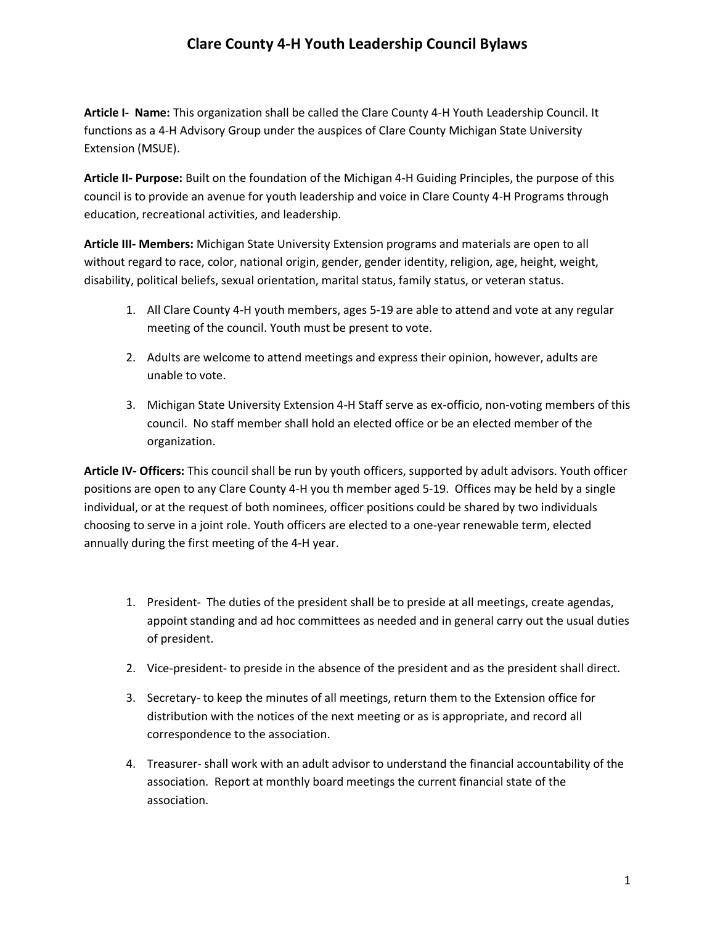## **Clare County 4-H Youth Leadership Council Bylaws**

**Article I- Name:** This organization shall be called the Clare County 4-H Youth Leadership Council. It functions as a 4-H Advisory Group under the auspices of Clare County Michigan State University Extension (MSUE).

**Article II- Purpose:** Built on the foundation of the Michigan 4-H Guiding Principles, the purpose of this council is to provide an avenue for youth leadership and voice in Clare County 4-H Programs through education, recreational activities, and leadership.

**Article III- Members:** Michigan State University Extension programs and materials are open to all without regard to race, color, national origin, gender, gender identity, religion, age, height, weight, disability, political beliefs, sexual orientation, marital status, family status, or veteran status.

- 1. All Clare County 4-H youth members, ages 5-19 are able to attend and vote at any regular meeting of the council. Youth must be present to vote.
- 2. Adults are welcome to attend meetings and express their opinion, however, adults are unable to vote.
- 3. Michigan State University Extension 4-H Staff serve as ex-officio, non-voting members of this council. No staff member shall hold an elected office or be an elected member of the organization.

**Article IV- Officers:** This council shall be run by youth officers, supported by adult advisors. Youth officer positions are open to any Clare County 4-H you th member aged 5-19. Offices may be held by a single individual, or at the request of both nominees, officer positions could be shared by two individuals choosing to serve in a joint role. Youth officers are elected to a one-year renewable term, elected annually during the first meeting of the 4-H year.

- 1. President- The duties of the president shall be to preside at all meetings, create agendas, appoint standing and ad hoc committees as needed and in general carry out the usual duties of president.
- 2. Vice-president- to preside in the absence of the president and as the president shall direct.
- 3. Secretary- to keep the minutes of all meetings, return them to the Extension office for distribution with the notices of the next meeting or as is appropriate, and record all correspondence to the association.
- 4. Treasurer- shall work with an adult advisor to understand the financial accountability of the association. Report at monthly board meetings the current financial state of the association.